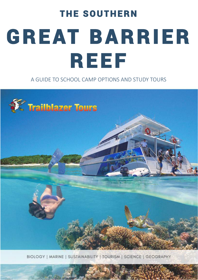# **THE SOUTHERN** GREAT BARRIER R E E F

A GUIDE TO SCHOOL CAMP OPTIONS AND STUDY TOURS



BIOLOGY | MARINE | SUSTAINABILITY | TOURISM | SCIENCE | GEOGRAPHY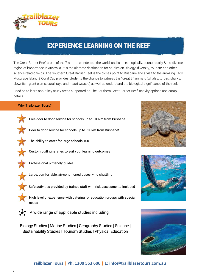

### EXPERIENCE LEARNING ON THE REEF

The Great Barrier Reef is one of the 7 natural wonders of the world, and is an ecologically, economically & bio-diverse region of importance in Australia. It is the ultimate destination for studies on Biology, diversity, tourism and other science related fields. The Southern Great Barrier Reef is the closes point to Brisbane and a visit to the amazing Lady Musgrave Island & Coral Cay provides students the chance to witness the "great 8" animals (whales, turtles, sharks, clownfish, giant clams, coral, rays and maori wrasse) as well as understand the biological significance of the reef.

Read on to learn about key study areas supported on The Southern Great Barrier Reef, activity options and camp details.

#### Why Trailblazer Tours?

needs



High level of experience with catering for education groups with special

A wide range of applicable studies including:

Biology Studies | Marine Studies | Geography Studies | Science | Sustainability Studies | Tourism Studies | Physical Education





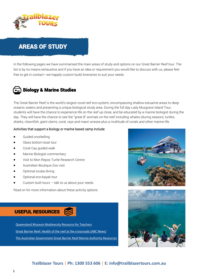

### AREAS OF STUDY

In the following pages we have summarised the main areas of study and options on our Great Barrier Reef tour. The list is by no means exhaustive and if you have an idea or requirement you would like to discuss with us, please feel free to get in contact—we happily custom build itineraries to suit your needs.

### Biology & Marine Studies

The Great Barrier Reef is the world's largest coral reef eco-system, encompassing shallow estuarine areas to deep oceanic waters and presenting a unique biological study area. During the full day Lady Musgrave Island Tour, students will have the chance to experience life on the reef up close, and be educated by a marine biologist during the day. They will have the chance to see the "great 8" animals on the reef including whales (during season), turtles, sharks, clownfish, giant clams, coral, rays and maori wrasse plus a multitude of corals and other marine life.

#### Activities that support a biology or marine based camp include:

- Guided snorkelling
- Glass bottom boat tour
- Coral Cay guided walk
- Marine Biologist commentary
- Visit to Mon Repos Turtle Research Centre
- Australian Boutique Zoo visit
- Optional scuba diving
- Optional eco-kayak tour
- Custom built tours  $-$  talk to us about your needs

Read on for more information about these activity options

### USEFUL RESOURCES

[Queensland Museum Biodiversity Resource for Teachers](http://www.qm.qld.gov.au/microsites/biodiscovery/07for-teachers/index.html) [Great](http://splash.abc.net.au/home#!/search/Great%20Barrier%20Reef//) Barrier Reef: Health of the reef at the crossroads (ABC News) [The Australian Government Great Barrier Reef Marine Authority Resources](http://www.msn.com/en-au/?ocid=iehp&pc=EUPP_)



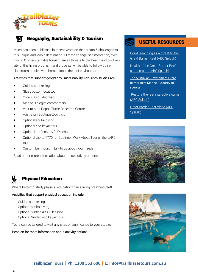



Much has been publicised in recent years on the threats & challenges to this unique and iconic destination. Climate change, sedimentation, overfishing & un-sustainable tourism are all threats to the health and biodiversity of this living organism and students will be able to follow up inclassroom studies with immersion in the reef environment.

#### Activities that support geography, sustainability & tourism studies are:

- Guided snorkelling
- Glass bottom boat tour
- Coral Cay guided walk
- Marine Biologist commentary
- Visit to Mon Repos Turtle Research Centre
- Australian Boutique Zoo visit
- Optional scuba diving
- Optional eco-kayak tour
- Optional surf school/SUP school
- Optional trip to 1770 for Goolimbil Walk About Tour or the LARC! tour
- Custom built tours  $-$  talk to us about your needs

Read on for more information about these activity options

### Physical Education

Where better to study physical education than a living breathing reef!

#### Activities that support physical education include:

- Guided snorkelling
- Optional scuba diving
- Optional Surfing & SUP lessons
- Optional Guided eco kayak tour

Tours can be tailored to visit any sites of significance to your studies.

#### Read on for more information about activity options

### USEFUL RESOURCES

[Coral Bleaching as a threat to the](http://splash.abc.net.au/home#!/media/528283/coral-bleaching-threat-to-the-great-barrier-reef-)  [Great Barrier Reef \(ABC Splash\)](http://splash.abc.net.au/home#!/media/528283/coral-bleaching-threat-to-the-great-barrier-reef-)

[Health of the Great Barrier Reef at](http://www.abc.net.au/news/2011-11-07/health-of-barrier-reef-at-crossroads/3637104)  [a crossroads \(ABC Splash\)](http://www.abc.net.au/news/2011-11-07/health-of-barrier-reef-at-crossroads/3637104)

[The Australian Government Great](http://www.msn.com/en-au/?ocid=iehp&pc=EUPP_)  [Barrier Reef Marine Authority Re](http://www.msn.com/en-au/?ocid=iehp&pc=EUPP_)[sources](http://www.msn.com/en-au/?ocid=iehp&pc=EUPP_)

[Restore the reef interactive game](http://splash.abc.net.au/res/i/g.php?url=collection/gbr/index.html)  [\(ABC Splash\)](http://splash.abc.net.au/res/i/g.php?url=collection/gbr/index.html)

[Great Barrier Reef Video \(ABC](http://splash.abc.net.au/home#!/media/2100816/great-barrier-reef-a-world-heritage-area)  [Splash\)](http://splash.abc.net.au/home#!/media/2100816/great-barrier-reef-a-world-heritage-area)



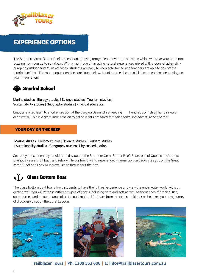

### EXPERIENCE OPTIONS

The Southern Great Barrier Reef presents an amazing array of eco-adventure activities which will have your students buzzing from sun up to sun down. With a multitude of amazing natural experiences mixed with a dose of adrenalinpumping outdoor adventure activities, students are easy to keep entertained and teachers are able to tick off the "curriculum" list. The most popular choices are listed below, but of course, the possibilities are endless depending on your imagination:

### Snorkel School

#### Marine studies | Biology studies | Science studies | Tourism studies | Sustainability studies | Geography studies | Physical education

Enjoy a relaxed learn to snorkel session at the Bargara Basin whilst feeding hundreds of fish by hand in waist deep water. This is a great intro session to get students prepared for their snorkelling adventure on the reef.

#### YOUR DAY ON THE REEF

#### Marine studies | Biology studies | Science studies | Tourism studies | Sustainability studies | Geography studies | Physical education

Get ready to experience your ultimate day out on the Southern Great Barrier Reef! Board one of Queensland's most luxurious vessels. Sit back and relax while our friendly and experienced marine biologist educates you on the Great Barrier Reef and Lady Musgrave Island throughout the day.

### $\overline{\mathbf{H}}$  Glass Bottom Boat

The glass bottom boat tour allows students to have the full reef experience and view the underwater world without getting wet. You will witness different types of corals including hard and soft as well as thousands of tropical fish, some turtles and an abundance of other local marine life. Learn from the expert skipper as he takes you on a journey of discovery through the Coral Lagoon.





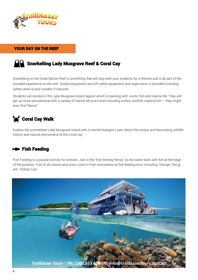

#### YOUR DAY ON THE REEF



Snorkelling on the Great Barrier Reef is something that will stay with your students for a lifetime and is all part of the included experience on the reef. Quality equipment and full safety equipment and supervision is provided including safety vests & pool noodles if required.

Students will snorkel in the Lady Musgrave Island lagoon which is teaming with exotic fish and marine life. They will get up close and personal with a variety of marine life and corals including turtles, starfish, tropical fish – they might even find "Nemo".

### Coral Cay Walk

Explore the uninhabited Lady Musgrave Island with a marine biologist! Learn about the unique and fascinating wildlife, history and natural phenomena of this coral cay.

### Fish Feeding

Fish Feeding is a popular activity for schools. Join in the "fish feeding frenzy" as the water boils with fish at the edge of the pontoon. Fish of all colours and sizes come in from everywhere at fish feeding time, including "George," the giant Potato Cod.

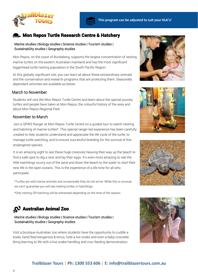



### Mon Repos Turtle Research Centre & Hatchery

#### Marine studies | Biology studies | Science studies | Tourism studies | Sustainability studies | Geography studies

Mon Repos, on the coast of Bundaberg, supports the largest concentration of nesting marine turtles on the eastern Australian mainland and has the most significant loggerhead turtle nesting population in the South Pacific Region.

At this globally significant site, you can learn all about these extraordinary animals and the conservation and research programs that are protecting them. Seasonally dependant activities are available as below:

#### March to November

Students will visit the Mon Repos Turtle Centre and learn about the special journey turtles and people have taken at Mon Repos, the colourful history of the area and about Mon Repos Regional Park.

### November to March

Join a QPWS Ranger at Mon Repos Turtle Centre on a guided tour to watch nesting and hatching of marine turtles\*. This special ranger led experience has been carefully created to help students understand and appreciate the life cycle of the turtle, to manage turtle watching, and to ensure successful breeding for the survival of this endangered species.

It is an amazing sight to see these huge creatures heaving their way up the beach to find a safe spot to dig a nest and lay their eggs. It's even more amazing to see the little hatchlings scurry out of the sand and down the beach to the water to start their new life in the open oceans. This is the experience of a life time for all who participate.

\*Turtles are wild marine animals and occasionally they do not arrive. While this is unusual, we can't guarantee you will see nesting turtles or hatchlings.

\*Only nesting OR hatching will be witnessed depending on the time of the season

### Australian Animal Zoo

#### Marine studies | Biology studies | Science studies | Tourism studies | Sustainability studies | Geography studies

Visit a boutique Australian zoo where students have the opportunity to cuddle a koala, hand feed kangaroos & emus, hold a live snake and even a baby crocodile. Bring learning to life with a live snake handling and croc feeding demonstration.







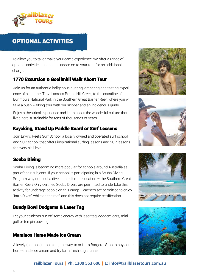

### OPTIONAL ACTIVITIES

To allow you to tailor make your camp experience, we offer a range of optional activities that can be added on to your tour for an additional charge.

### 1770 Excursion & Goolimbil Walk About Tour

Join us for an authentic indigenous hunting, gathering and tasting experience of a lifetime! Travel across Round Hill Creek, to the coastline of Eurimbula National Park in the Southern Great Barrier Reef, where you will take a bush walking tour with our skipper and an indigenous guide.

Enjoy a theatrical experience and learn about the wonderful culture that lived here sustainably for tens of thousands of years.

### Kayaking, Stand Up Paddle Board or Surf Lessons

Join Enviro Reefs Surf School, a locally owned and operated surf school and SUP school that offers inspirational surfing lessons and SUP lessons for every skill level.

### Scuba Diving

Scuba Diving is becoming more popular for schools around Australia as part of their subjects. If your school is participating in a Scuba Diving Program why not scuba dive in the ultimate location – the Southern Great Barrier Reef? Only certified Scuba Divers are permitted to undertake this activity for underage people on this camp. Teachers are permitted to enjoy "Intro Dives" while on the reef, and this does not require certification.

### Bundy Bowl Dodgems & Laser Tag

Let your students run off some energy with laser tag, dodgem cars, mini golf or ten pin bowling

### Maminos Home Made Ice Cream

A lovely (optional) stop along the way to or from Bargara. Stop to buy some home-made ice cream and try farm fresh sugar cane.







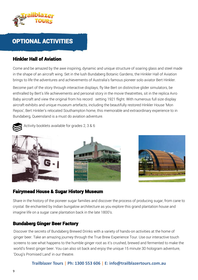

### OPTIONAL ACTIVITIES

### Hinkler Hall of Aviation

Come and be amazed by the awe inspiring, dynamic and unique structure of soaring glass and steel made in the shape of an aircraft wing. Set in the lush Bundaberg Botanic Gardens, the Hinkler Hall of Aviation brings to life the adventures and achievements of Australia's famous pioneer solo aviator Bert Hinkler.

Become part of the story through interactive displays; fly like Bert on distinctive glider simulators, be enthralled by Bert's life achievements and personal story in the movie theatrettes, sit in the replica Avro Baby aircraft and view the original from his record setting 1921 flight. With numerous full size display aircraft exhibits and unique museum artefacts, including the beautifully restored Hinkler House 'Mon Repos', Bert Hinkler's relocated Southampton home, this memorable and extraordinary experience to in Bundaberg, Queensland is a must do aviation adventure.



Activity booklets available for grades 2, 3 & 6







### Fairymead House & Sugar History Museum

Share in the history of the pioneer sugar families and discover the process of producing sugar, from cane to crystal. Be enchanted by Indian bungalow architecture as you explore this grand plantation house and imagine life on a sugar cane plantation back in the late 1800's.

### Bundaberg Ginger Beer Factory

Discover the secrets of Bundaberg Brewed Drinks with a variety of hands-on activities at the home of ginger beer. Take an amazing journey through the True Brew Experience Tour. Use our interactive touch screens to see what happens to the humble ginger root as it's crushed, brewed and fermented to make the world's finest ginger beer. You can also sit back and enjoy the unique 15 minute 3D hologram adventure, 'Doug's Promised Land' in our theatre.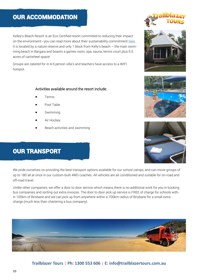### OUR ACCOMMODATION

Kelley's Beach Resort is an Eco Certified resort committed to reducing their impact on the environment-you can read more about their sustainability commitment [here.](http://www.kellysbeachresort.com.au/environmental-tourism/) It is located by a nature reserve and only 1 block from Kelly's beach – the main swimming beach in Bargara and boasts a games room, spa, sauna, tennis court plus 5.5 acres of cartwheel space!

Groups are catered for in 4-5 person villa's and teachers have access to a WIFI hotspot.

#### Activities available around the resort include:

- Tennis
- Pool Table
- **Swimming**
- Air Hockey
- Beach activities and swimming



### OUR TRANSPORT

We pride ourselves on providing the best transport options available for our school camps, and can move groups of up to 180 all at once in our custom-built 4WD coaches. All vehicles are air conditioned and suitable for on-road and off-road travel.

Unlike other companies, we offer a door to door service which means there is no additional work for you in booking bus companies and sorting out extra invoices. The door to door pick up service is FREE of charge for schools within 100km of Brisbane and we can pick up from anywhere within a 700km radius of Brisbane for a small extra charge (much less than chartering a bus company).

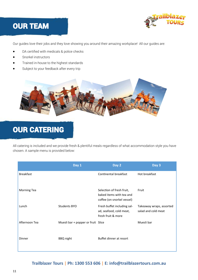## OUR TEAM



Our guides love their jobs and they love showing you around their amazing workplace! All our guides are:

- DA certified with medicals & police checks
- Snorkel instructors
- Trained in-house to the highest standards
- Subject to your feedback after every trip



### OUR CATERING

All catering is included and we provide fresh & plentiful meals regardless of what accommodation style you have chosen. A sample menu is provided below:

|                    | Day 1                              | Day 2                                                                               | Day 3                                           |
|--------------------|------------------------------------|-------------------------------------------------------------------------------------|-------------------------------------------------|
| <b>Breakfast</b>   |                                    | Continental breakfast                                                               | Hot breakfast                                   |
| <b>Morning Tea</b> |                                    | Selection of fresh fruit,<br>baked items with tea and<br>coffee (on snorkel vessel) | Fruit                                           |
| Lunch              | Students BYO                       | Fresh buffet including sal-<br>ad, seafood, cold meat,<br>fresh fruit & more        | Takeaway wraps, assorted<br>salad and cold meat |
| Afternoon Tea      | Muesli bar + popper or fruit Slice |                                                                                     | Muesli bar                                      |
| Dinner             | <b>BBQ night</b>                   | Buffet dinner at resort                                                             |                                                 |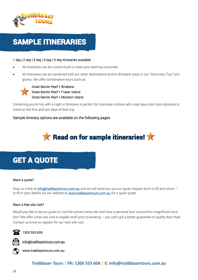

# SAMPLE ITINERARIES

#### 1 day | 2 day | 3 day | 4 day | 5 day itineraries available.

- All itineraries can be custom built to meet your learning outcomes
- All itineraries can be combined with our other destinations and/or Brisbane stays in our "Discovery Tour" programs. We offer combination tours such as:



 Great Barrier Reef + Fraser Island Great Barrier Reef + Moreton Island

Combining you're trip with a night in Brisbane is perfect for interstate schools who may have a bit more distance to travel on the first and last days of their trip.

#### Sample itinerary options are available on the following pages





#### Want a quote?

Drop us a line at *[info@trailblazertours.com.au](mailto:info@trailblazertours.com.au)* and we will send you out our quote request form to fill and return or fill in your details via our website at [www.trailblazertours.com.au](http://www.trailblazertours.com.au) for a quick quote.

#### Want a free site visit?

Would you like to be our guest to visit the school camp site and have a personal tour around this magnificent location? We offer a free site visit to eligible staff prior to booking – you can't get a better guarantee of quality than that! Contact us know to register for our next site visit.



#### 1300 553 606

[info@trailblazertours.com.au](mailto:info@trailblazertours.com.au) 

[www.trailblazertours.com.au](http://www.trailblazertours.com.au)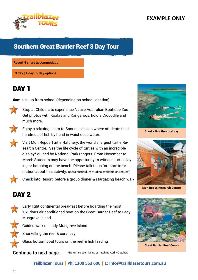

### **EXAMPLE ONLY**

### Southern Great Barrier Reef 3 Day Tour

Resort 4 share accommodation | Camping Camping

2 day | 3 day | 4 day | 5 day options 3 4 5 options

### DAY<sub>1</sub>

**6am** pick up from school (depending on school location)



• Stop at Childers to experience Native Australian Boutique Zoo. Get photos with Koalas and Kangaroos, hold a Crocodile and much more.



• Enjoy a relaxing Learn to Snorkel session where students feed hundreds of fish by hand in waist deep water.

• Visit Mon Repos Turtle Hatchery, the world's largest turtle Research Centre. See the life cycle of turtles with an incredible display\* guided by National Park rangers. From November to March Students may have the opportunity to witness turtles laying or hatching on the beach. Please talk to us for more information about this activity. (extra curriculum studies available on request)



• Check into Resort before a group dinner & stargazing beach walk



**Snorkelling the coral cay** 



**Mon Repos Research Centre** 

### DAY<sub>2</sub>



• Early light continental breakfast before boarding the most luxurious air conditioned boat on the Great Barrier Reef to Lady Musgrave Island



• Guided walk on Lady Musgrave Island

• Snorkelling the reef & coral cay

Glass bottom boat tours on the reef & fish feeding

Continue to next page... \*No turtles seen laying or hatching April-October.



**Great Barrier Reef Corals**